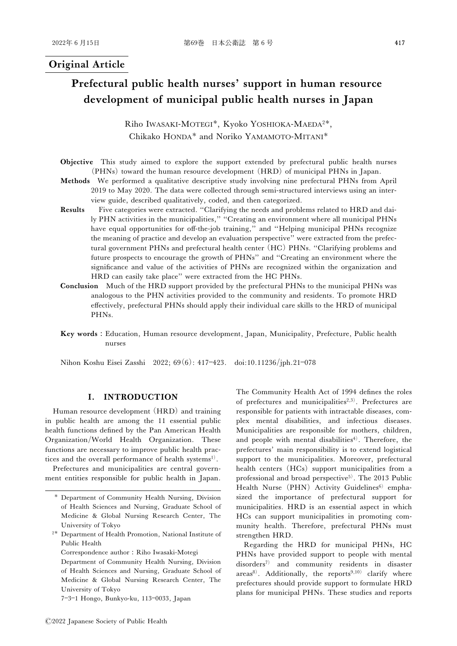# Original Article

# Prefectural public health nurses' support in human resource development of municipal public health nurses in Japan

Riho IWASAKI-MOTEGI\*, Kyoko YOSHIOKA-MAEDA<sup>2\*</sup>, Chikako HONDA<sup>\*</sup> and Noriko YAMAMOTO-MITANI<sup>\*</sup>

- Objective This study aimed to explore the support extended by prefectural public health nurses (PHNs) toward the human resource development (HRD) of municipal PHNs in Japan.
- Methods We performed a qualitative descriptive study involving nine prefectural PHNs from April 2019 to May 2020. The data were collected through semi-structured interviews using an interview guide, described qualitatively, coded, and then categorized.
- Results Five categories were extracted. "Clarifying the needs and problems related to HRD and daily PHN activities in the municipalities," "Creating an environment where all municipal PHNs have equal opportunities for off-the-job training," and "Helping municipal PHNs recognize the meaning of practice and develop an evaluation perspective'' were extracted from the prefectural government PHNs and prefectural health center (HC) PHNs. "Clarifying problems and future prospects to encourage the growth of PHNs" and "Creating an environment where the significance and value of the activities of PHNs are recognized within the organization and HRD can easily take place'' were extracted from the HC PHNs.
- Conclusion Much of the HRD support provided by the prefectural PHNs to the municipal PHNs was analogous to the PHN activities provided to the community and residents. To promote HRD effectively, prefectural PHNs should apply their individual care skills to the HRD of municipal PHNs.
- Key words: Education, Human resource development, Japan, Municipality, Prefecture, Public health nurses

Nihon Koshu Eisei Zasshi 2022; 69(6): 417-423. doi:10.11236/jph.21-078

# I. INTRODUCTION

Human resource development (HRD) and training in public health are among the 11 essential public health functions defined by the Pan American Health Organization/World Health Organization. These functions are necessary to improve public health practices and the overall performance of health systems<sup>1)</sup>.

Prefectures and municipalities are central government entities responsible for public health in Japan.

- 2 Department of Health Promotion, National Institute of Public Health
	- Correspondence author: Riho Iwasaki-Motegi

Department of Community Health Nursing, Division of Health Sciences and Nursing, Graduate School of Medicine & Global Nursing Research Center, The University of Tokyo

7-3-1 Hongo, Bunkyo-ku, 113-0033, Japan

The Community Health Act of 1994 defines the roles of prefectures and municipalities<sup>2,3)</sup>. Prefectures are responsible for patients with intractable diseases, complex mental disabilities, and infectious diseases. Municipalities are responsible for mothers, children, and people with mental disabilities<sup>4)</sup>. Therefore, the prefectures' main responsibility is to extend logistical support to the municipalities. Moreover, prefectural health centers (HCs) support municipalities from a professional and broad perspective<sup>5)</sup>. The 2013 Public Health Nurse (PHN) Activity Guidelines<sup>6)</sup> emphasized the importance of prefectural support for municipalities. HRD is an essential aspect in which HCs can support municipalities in promoting community health. Therefore, prefectural PHNs must strengthen HRD.

Regarding the HRD for municipal PHNs, HC PHNs have provided support to people with mental disorders7) and community residents in disaster areas<sup>8)</sup>. Additionally, the reports<sup>9,10)</sup> clarify where prefectures should provide support to formulate HRD plans for municipal PHNs. These studies and reports

Department of Community Health Nursing, Division of Health Sciences and Nursing, Graduate School of Medicine & Global Nursing Research Center, The University of Tokyo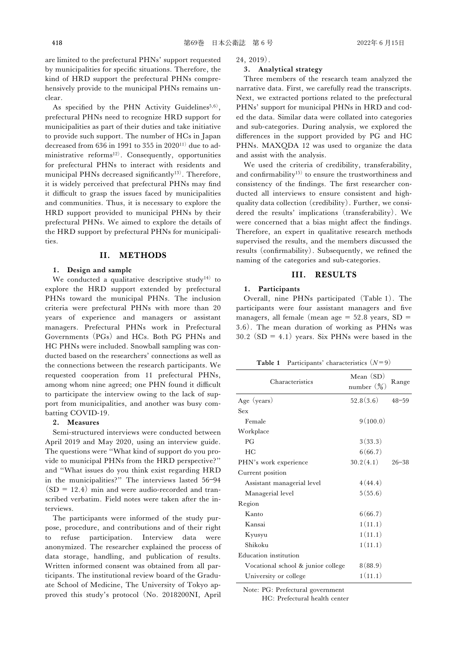are limited to the prefectural PHNs' support requested by municipalities for specific situations. Therefore, the kind of HRD support the prefectural PHNs comprehensively provide to the municipal PHNs remains unclear.

As specified by the PHN Activity Guidelines<sup>5,6)</sup>, prefectural PHNs need to recognize HRD support for municipalities as part of their duties and take initiative to provide such support. The number of HCs in Japan decreased from 636 in 1991 to 355 in 202011) due to administrative reforms<sup>12)</sup>. Consequently, opportunities for prefectural PHNs to interact with residents and municipal PHNs decreased significantly<sup>13)</sup>. Therefore, it is widely perceived that prefectural PHNs may find it difficult to grasp the issues faced by municipalities and communities. Thus, it is necessary to explore the HRD support provided to municipal PHNs by their prefectural PHNs. We aimed to explore the details of the HRD support by prefectural PHNs for municipalities.

## II. METHODS

## 1. Design and sample

We conducted a qualitative descriptive study<sup>14)</sup> to explore the HRD support extended by prefectural PHNs toward the municipal PHNs. The inclusion criteria were prefectural PHNs with more than 20 years of experience and managers or assistant managers. Prefectural PHNs work in Prefectural Governments (PGs) and HCs. Both PG PHNs and HC PHNs were included. Snowball sampling was conducted based on the researchers' connections as well as the connections between the research participants. We requested cooperation from 11 prefectural PHNs, among whom nine agreed; one PHN found it difficult to participate the interview owing to the lack of support from municipalities, and another was busy combatting COVID-19.

#### 2. Measures

Semi-structured interviews were conducted between April 2019 and May 2020, using an interview guide. The questions were "What kind of support do you provide to municipal PHNs from the HRD perspective?'' and "What issues do you think exist regarding HRD in the municipalities?" The interviews lasted 56-94  $(SD = 12.4)$  min and were audio-recorded and transcribed verbatim. Field notes were taken after the interviews.

The participants were informed of the study purpose, procedure, and contributions and of their right to refuse participation. Interview data were anonymized. The researcher explained the process of data storage, handling, and publication of results. Written informed consent was obtained from all participants. The institutional review board of the Graduate School of Medicine, The University of Tokyo approved this study's protocol (No. 2018200NI, April 24, 2019).

#### 3. Analytical strategy

Three members of the research team analyzed the narrative data. First, we carefully read the transcripts. Next, we extracted portions related to the prefectural PHNs' support for municipal PHNs in HRD and coded the data. Similar data were collated into categories and sub-categories. During analysis, we explored the differences in the support provided by PG and HC PHNs. MAXQDA 12 was used to organize the data and assist with the analysis.

We used the criteria of credibility, transferability, and confirmability<sup>15)</sup> to ensure the trustworthiness and consistency of the findings. The first researcher conducted all interviews to ensure consistent and highquality data collection (credibility). Further, we considered the results' implications (transferability). We were concerned that a bias might affect the findings. Therefore, an expert in qualitative research methods supervised the results, and the members discussed the results (confirmability). Subsequently, we refined the naming of the categories and sub-categories.

## III. RESULTS

#### 1. Participants

Overall, nine PHNs participated (Table 1). The participants were four assistant managers and five managers, all female (mean age  $= 52.8$  years, SD  $=$ 3.6). The mean duration of working as PHNs was 30.2 (SD = 4.1) years. Six PHNs were based in the

**Table 1** Participants' characteristics  $(N=9)$ 

| Characteristics                    | Mean (SD)<br>number $(\%)$ | Range     |
|------------------------------------|----------------------------|-----------|
| Age (years)                        | 52.8(3.6)                  | $48 - 59$ |
| Sex                                |                            |           |
| Female                             | 9(100.0)                   |           |
| Workplace                          |                            |           |
| $P$ <sup><math>G</math></sup>      | 3(33.3)                    |           |
| HС                                 | 6(66.7)                    |           |
| PHN's work experience              | 30.2(4.1)                  | $26 - 38$ |
| Current position                   |                            |           |
| Assistant managerial level         | 4(44.4)                    |           |
| Managerial level                   | 5(55.6)                    |           |
| Region                             |                            |           |
| Kanto                              | 6(66.7)                    |           |
| Kansai                             | 1(11.1)                    |           |
| Kyusyu                             | 1(11.1)                    |           |
| Shikoku                            | 1(11.1)                    |           |
| Education institution              |                            |           |
| Vocational school & junior college | 8(88.9)                    |           |
| University or college              | 1(11.1)                    |           |

Note: PG: Prefectural government

HC: Prefectural health center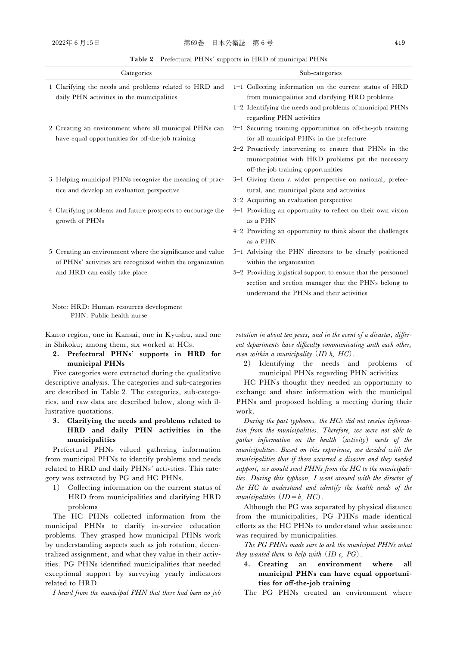Table 2 Prefectural PHNs' supports in HRD of municipal PHNs

| Categories                                                  | Sub-categories                                                |
|-------------------------------------------------------------|---------------------------------------------------------------|
| 1 Clarifying the needs and problems related to HRD and      | 1-1 Collecting information on the current status of HRD       |
| daily PHN activities in the municipalities                  | from municipalities and clarifying HRD problems               |
|                                                             | 1-2 Identifying the needs and problems of municipal PHNs      |
|                                                             | regarding PHN activities                                      |
| 2 Creating an environment where all municipal PHNs can      | 2-1 Securing training opportunities on off-the-job training   |
| have equal opportunities for off-the-job training           | for all municipal PHNs in the prefecture                      |
|                                                             | 2-2 Proactively intervening to ensure that PHNs in the        |
|                                                             | municipalities with HRD problems get the necessary            |
|                                                             | off-the-job training opportunities                            |
| 3 Helping municipal PHNs recognize the meaning of prac-     | 3-1 Giving them a wider perspective on national, prefec-      |
| tice and develop an evaluation perspective                  | tural, and municipal plans and activities                     |
|                                                             | 3-2 Acquiring an evaluation perspective                       |
| 4 Clarifying problems and future prospects to encourage the | 4-1 Providing an opportunity to reflect on their own vision   |
| growth of PHNs                                              | as a PHN                                                      |
|                                                             | 4-2 Providing an opportunity to think about the challenges    |
|                                                             | as a PHN                                                      |
| 5 Creating an environment where the significance and value  | 5-1 Advising the PHN directors to be clearly positioned       |
| of PHNs' activities are recognized within the organization  | within the organization                                       |
| and HRD can easily take place                               | 5-2 Providing logistical support to ensure that the personnel |
|                                                             | section and section manager that the PHNs belong to           |
|                                                             | understand the PHNs and their activities                      |

Note: HRD: Human resources development PHN: Public health nurse

Kanto region, one in Kansai, one in Kyushu, and one in Shikoku; among them, six worked at HCs.

2. Prefectural PHNs' supports in HRD for municipal PHNs

Five categories were extracted during the qualitative descriptive analysis. The categories and sub-categories are described in Table 2. The categories, sub-categories, and raw data are described below, along with illustrative quotations.

3. Clarifying the needs and problems related to HRD and daily PHN activities in the municipalities

Prefectural PHNs valued gathering information from municipal PHNs to identify problems and needs related to HRD and daily PHNs' activities. This category was extracted by PG and HC PHNs.

1) Collecting information on the current status of HRD from municipalities and clarifying HRD problems

The HC PHNs collected information from the municipal PHNs to clarify in-service education problems. They grasped how municipal PHNs work by understanding aspects such as job rotation, decentralized assignment, and what they value in their activities. PG PHNs identified municipalities that needed exceptional support by surveying yearly indicators related to HRD.

I heard from the municipal PHN that there had been no job

rotation in about ten years, and in the event of a disaster, different departments have difficulty communicating with each other, even within a municipality  $(ID h, HC)$ .

2) Identifying the needs and problems of municipal PHNs regarding PHN activities

HC PHNs thought they needed an opportunity to exchange and share information with the municipal PHNs and proposed holding a meeting during their work.

During the past typhoons, the HCs did not receive information from the municipalities. Therefore, we were not able to gather information on the health (activity) needs of the municipalities. Based on this experience, we decided with the municipalities that if there occurred a disaster and they needed support, we would send PHNs from the HC to the municipalities. During this typhoon, I went around with the director of the HC to understand and identify the health needs of the municipalities  $(ID = h, HC)$ .

Although the PG was separated by physical distance from the municipalities, PG PHNs made identical efforts as the HC PHNs to understand what assistance was required by municipalities.

The PG PHNs made sure to ask the municipal PHNs what they wanted them to help with  $(ID \c, PG)$ .

4. Creating an environment where all municipal PHNs can have equal opportunities for off-the-job training

The PG PHNs created an environment where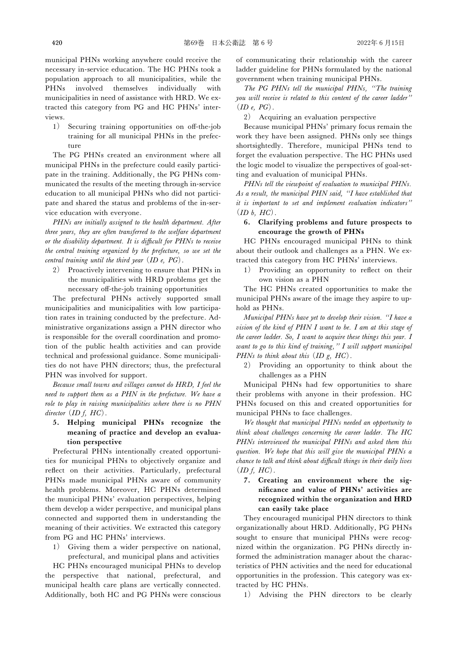municipal PHNs working anywhere could receive the necessary in-service education. The HC PHNs took a population approach to all municipalities, while the PHNs involved themselves individually with municipalities in need of assistance with HRD. We extracted this category from PG and HC PHNs' interviews.

1) Securing training opportunities on off-the-job training for all municipal PHNs in the prefecture

The PG PHNs created an environment where all municipal PHNs in the prefecture could easily participate in the training. Additionally, the PG PHNs communicated the results of the meeting through in-service education to all municipal PHNs who did not participate and shared the status and problems of the in-service education with everyone.

PHNs are initially assigned to the health department. After three years, they are often transferred to the welfare department or the disability department. It is difficult for  $PHNs$  to receive the central training organized by the prefecture, so we set the central training until the third year  $(ID e, PG)$ .

2) Proactively intervening to ensure that PHNs in the municipalities with HRD problems get the necessary off-the-job training opportunities

The prefectural PHNs actively supported small municipalities and municipalities with low participation rates in training conducted by the prefecture. Administrative organizations assign a PHN director who is responsible for the overall coordination and promotion of the public health activities and can provide technical and professional guidance. Some municipalities do not have PHN directors; thus, the prefectural PHN was involved for support.

Because small towns and villages cannot do HRD, I feel the need to support them as a PHN in the prefecture. We have a role to play in raising municipalities where there is no PHN director  $(ID f, HC)$ .

5. Helping municipal PHNs recognize the meaning of practice and develop an evaluation perspective

Prefectural PHNs intentionally created opportunities for municipal PHNs to objectively organize and reflect on their activities. Particularly, prefectural PHNs made municipal PHNs aware of community health problems. Moreover, HC PHNs determined the municipal PHNs' evaluation perspectives, helping them develop a wider perspective, and municipal plans connected and supported them in understanding the meaning of their activities. We extracted this category from PG and HC PHNs' interviews.

Giving them a wider perspective on national, prefectural, and municipal plans and activities

HC PHNs encouraged municipal PHNs to develop the perspective that national, prefectural, and municipal health care plans are vertically connected. Additionally, both HC and PG PHNs were conscious of communicating their relationship with the career ladder guideline for PHNs formulated by the national government when training municipal PHNs.

The PG PHNs tell the municipal PHNs, "The training you will receive is related to this content of the career ladder''  $(ID e, PG).$ 

2) Acquiring an evaluation perspective

Because municipal PHNs' primary focus remain the work they have been assigned. PHNs only see things shortsightedly. Therefore, municipal PHNs tend to forget the evaluation perspective. The HC PHNs used the logic model to visualize the perspectives of goal-setting and evaluation of municipal PHNs.

PHNs tell the viewpoint of evaluation to municipal PHNs. As a result, the municipal PHN said, "I have established that it is important to set and implement evaluation indicators''  $(ID b, HC)$ .

## 6. Clarifying problems and future prospects to encourage the growth of PHNs

HC PHNs encouraged municipal PHNs to think about their outlook and challenges as a PHN. We extracted this category from HC PHNs' interviews.

1) Providing an opportunity to reflect on their own vision as a PHN

The HC PHNs created opportunities to make the municipal PHNs aware of the image they aspire to uphold as PHNs.

Municipal PHNs have yet to develop their vision. "I have a vision of the kind of PHN I want to be. I am at this stage of the career ladder. So,  $I$  want to acquire these things this year.  $I$ want to go to this kind of training," I will support municipal PHNs to think about this  $(ID g, HC)$ .

2) Providing an opportunity to think about the challenges as a PHN

Municipal PHNs had few opportunities to share their problems with anyone in their profession. HC PHNs focused on this and created opportunities for municipal PHNs to face challenges.

We thought that municipal PHNs needed an opportunity to think about challenges concerning the career ladder. The HC PHNs interviewed the municipal PHNs and asked them this question. We hope that this will give the municipal PHNs a chance to talk and think about difficult things in their daily lives  $(ID f, HC)$ .

7. Creating an environment where the significance and value of PHNs' activities are recognized within the organization and HRD can easily take place

They encouraged municipal PHN directors to think organizationally about HRD. Additionally, PG PHNs sought to ensure that municipal PHNs were recognized within the organization. PG PHNs directly informed the administration manager about the characteristics of PHN activities and the need for educational opportunities in the profession. This category was extracted by HC PHNs.

1) Advising the PHN directors to be clearly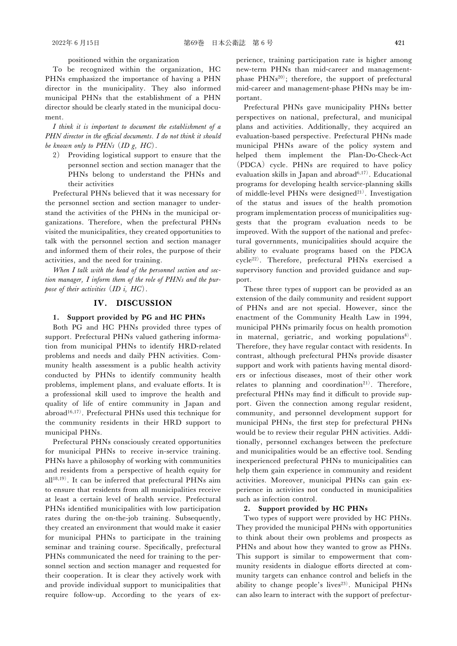positioned within the organization

To be recognized within the organization, HC PHNs emphasized the importance of having a PHN director in the municipality. They also informed municipal PHNs that the establishment of a PHN director should be clearly stated in the municipal document.

I think it is important to document the establishment of a  $PHN$  director in the official documents. I do not think it should be known only to  $PHNs$   $(ID g, HC)$ .

2) Providing logistical support to ensure that the personnel section and section manager that the PHNs belong to understand the PHNs and their activities

Prefectural PHNs believed that it was necessary for the personnel section and section manager to understand the activities of the PHNs in the municipal organizations. Therefore, when the prefectural PHNs visited the municipalities, they created opportunities to talk with the personnel section and section manager and informed them of their roles, the purpose of their activities, and the need for training.

When I talk with the head of the personnel section and section manager, I inform them of the role of PHNs and the purpose of their activities  $(ID i, HC)$ .

#### IV. DISCUSSION

#### 1. Support provided by PG and HC PHNs

Both PG and HC PHNs provided three types of support. Prefectural PHNs valued gathering information from municipal PHNs to identify HRD-related problems and needs and daily PHN activities. Community health assessment is a public health activity conducted by PHNs to identify community health problems, implement plans, and evaluate efforts. It is a professional skill used to improve the health and quality of life of entire community in Japan and abroad<sup>16,17)</sup>. Prefectural PHNs used this technique for the community residents in their HRD support to municipal PHNs.

Prefectural PHNs consciously created opportunities for municipal PHNs to receive in-service training. PHNs have a philosophy of working with communities and residents from a perspective of health equity for all<sup>18,19)</sup>. It can be inferred that prefectural PHNs aim to ensure that residents from all municipalities receive at least a certain level of health service. Prefectural PHNs identified municipalities with low participation rates during the on-the-job training. Subsequently, they created an environment that would make it easier for municipal PHNs to participate in the training seminar and training course. Specifically, prefectural PHNs communicated the need for training to the personnel section and section manager and requested for their cooperation. It is clear they actively work with and provide individual support to municipalities that require follow-up. According to the years of experience, training participation rate is higher among new-term PHNs than mid-career and managementphase PHNs<sup>20)</sup>; therefore, the support of prefectural mid-career and management-phase PHNs may be important.

Prefectural PHNs gave municipality PHNs better perspectives on national, prefectural, and municipal plans and activities. Additionally, they acquired an evaluation-based perspective. Prefectural PHNs made municipal PHNs aware of the policy system and helped them implement the Plan-Do-Check-Act (PDCA) cycle. PHNs are required to have policy evaluation skills in Japan and abroad<sup> $6,17$ </sup>. Educational programs for developing health service-planning skills of middle-level PHNs were designed<sup>21)</sup>. Investigation of the status and issues of the health promotion program implementation process of municipalities suggests that the program evaluation needs to be improved. With the support of the national and prefectural governments, municipalities should acquire the ability to evaluate programs based on the PDCA cycle22). Therefore, prefectural PHNs exercised a supervisory function and provided guidance and support.

These three types of support can be provided as an extension of the daily community and resident support of PHNs and are not special. However, since the enactment of the Community Health Law in 1994, municipal PHNs primarily focus on health promotion in maternal, geriatric, and working populations<sup>4)</sup>. Therefore, they have regular contact with residents. In contrast, although prefectural PHNs provide disaster support and work with patients having mental disorders or infectious diseases, most of their other work relates to planning and coordination<sup>21)</sup>. Therefore, prefectural PHNs may find it difficult to provide support. Given the connection among regular resident, community, and personnel development support for municipal PHNs, the first step for prefectural PHNs would be to review their regular PHN activities. Additionally, personnel exchanges between the prefecture and municipalities would be an effective tool. Sending inexperienced prefectural PHNs to municipalities can help them gain experience in community and resident activities. Moreover, municipal PHNs can gain experience in activities not conducted in municipalities such as infection control.

#### 2. Support provided by HC PHNs

Two types of support were provided by HC PHNs. They provided the municipal PHNs with opportunities to think about their own problems and prospects as PHNs and about how they wanted to grow as PHNs. This support is similar to empowerment that community residents in dialogue efforts directed at community targets can enhance control and beliefs in the ability to change people's lives<sup>23)</sup>. Municipal PHNs can also learn to interact with the support of prefectur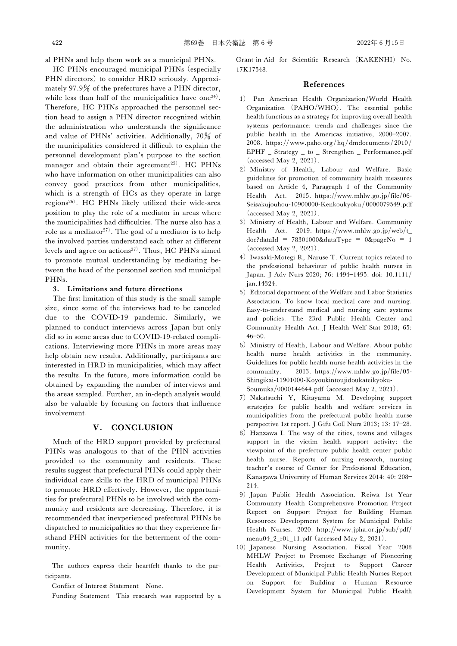al PHNs and help them work as a municipal PHNs.

HC PHNs encouraged municipal PHNs (especially PHN directors) to consider HRD seriously. Approximately  $97.9\%$  of the prefectures have a PHN director, while less than half of the municipalities have one<sup>24)</sup>. Therefore, HC PHNs approached the personnel section head to assign a PHN director recognized within the administration who understands the significance and value of PHNs' activities. Additionally,  $70\%$  of the municipalities considered it difficult to explain the personnel development plan's purpose to the section manager and obtain their agreement<sup>25)</sup>. HC PHNs who have information on other municipalities can also convey good practices from other municipalities, which is a strength of HCs as they operate in large regions<sup>26)</sup>. HC PHNs likely utilized their wide-area position to play the role of a mediator in areas where the municipalities had difficulties. The nurse also has a role as a mediator<sup>27)</sup>. The goal of a mediator is to help the involved parties understand each other at different levels and agree on actions<sup>27)</sup>. Thus, HC PHNs aimed to promote mutual understanding by mediating between the head of the personnel section and municipal PHNs.

#### 3. Limitations and future directions

The first limitation of this study is the small sample size, since some of the interviews had to be canceled due to the COVID-19 pandemic. Similarly, we planned to conduct interviews across Japan but only did so in some areas due to COVID-19-related complications. Interviewing more PHNs in more areas may help obtain new results. Additionally, participants are interested in HRD in municipalities, which may affect the results. In the future, more information could be obtained by expanding the number of interviews and the areas sampled. Further, an in-depth analysis would also be valuable by focusing on factors that influence involvement.

# V. CONCLUSION

Much of the HRD support provided by prefectural PHNs was analogous to that of the PHN activities provided to the community and residents. These results suggest that prefectural PHNs could apply their individual care skills to the HRD of municipal PHNs to promote HRD effectively. However, the opportunities for prefectural PHNs to be involved with the community and residents are decreasing. Therefore, it is recommended that inexperienced prefectural PHNs be dispatched to municipalities so that they experience firsthand PHN activities for the betterment of the community.

The authors express their heartfelt thanks to the participants.

Conflict of Interest Statement None.

Funding Statement This research was supported by a

Grant-in-Aid for Scientific Research (KAKENHI) No. 17K17548.

#### References

- 1) Pan American Health Organization/World Health Organization (PAHO/WHO). The essential public health functions as a strategy for improving overall health systems performance: trends and challenges since the public health in the Americas initiative, 2000-2007. 2008. https://www.paho.org/hq/dmdocuments/2010/ EPHF \_ Strategy \_ to \_ Strengthen \_ Performance.pdf (accessed May 2, 2021).
- 2) Ministry of Health, Labour and Welfare. Basic guidelines for promotion of community health measures based on Article 4, Paragraph 1 of the Community Health Act. 2015. https://www.mhlw.go.jp/file/06- Seisakujouhou-10900000-Kenkoukyoku/0000079549.pdf (accessed May 2, 2021).
- 3) Ministry of Health, Labour and Welfare. Community Health Act. 2019. https://www.mhlw.go.jp/web/t\_  $doc?dataId = 78301000&dataType = 0&pageNo = 1$ (accessed May 2, 2021).
- 4) Iwasaki-Motegi R, Naruse T. Current topics related to the professional behaviour of public health nurses in Japan. J Adv Nurs 2020; 76: 1494-1495. doi: 10.1111/ jan.14324.
- 5) Editorial department of the Welfare and Labor Statistics Association. To know local medical care and nursing. Easy-to-understand medical and nursing care systems and policies. The 23rd Public Health Center and Community Health Act. J Health Welf Stat 2018; 65:  $46 - 50.$
- 6) Ministry of Health, Labour and Welfare. About public health nurse health activities in the community. Guidelines for public health nurse health activities in the community. 2013. https://www.mhlw.go.jp/file/05- Shingikai-11901000-Koyoukintoujidoukateikyoku-Soumuka/0000144644.pdf (accessed May 2, 2021).
- 7) Nakatsuchi Y, Kitayama M. Developing support strategies for public health and welfare services in municipalities from the prefectural public health nurse perspective 1st report. J Gifu Coll Nurs 2013; 13: 17-28.
- 8) Hanzawa I. The way of the cities, towns and villages support in the victim health support activity: the viewpoint of the prefecture public health center public health nurse. Reports of nursing research, nursing teacher's course of Center for Professional Education, Kanagawa University of Human Services 2014; 40: 208 214.
- 9) Japan Public Health Association. Reiwa 1st Year Community Health Comprehensive Promotion Project Report on Support Project for Building Human Resources Development System for Municipal Public Health Nurses. 2020. http://www.jpha.or.jp/sub/pdf/ menu04\_2\_r01\_11.pdf (accessed May 2, 2021).
- 10) Japanese Nursing Association. Fiscal Year 2008 MHLW Project to Promote Exchange of Pioneering Health Activities, Project to Support Career Development of Municipal Public Health Nurses Report on Support for Building a Human Resource Development System for Municipal Public Health